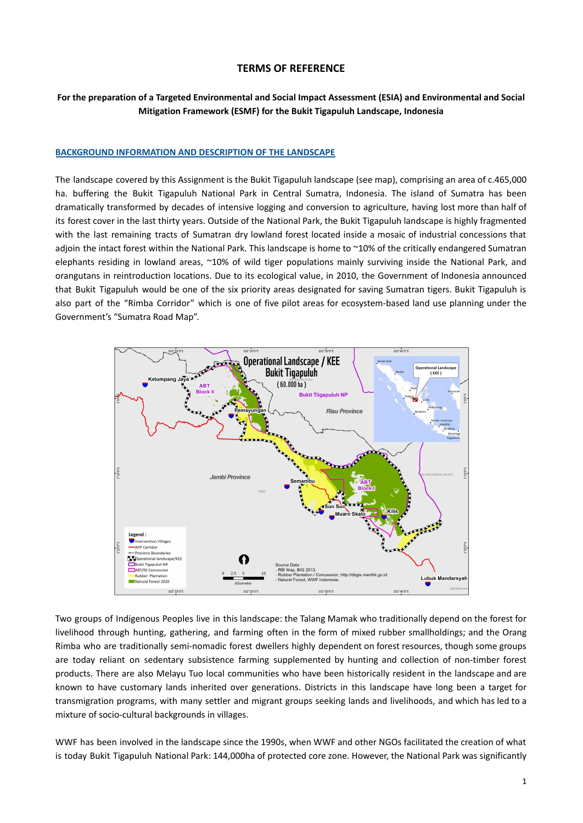## **TERMS OF REFERENCE**

## **For the preparation of a Targeted Environmental and Social Impact Assessment (ESIA) and Environmental and Social Mitigation Framework (ESMF) for the Bukit Tigapuluh Landscape, Indonesia**

#### **BACKGROUND INFORMATION AND DESCRIPTION OF THE LANDSCAPE**

The landscape covered by this Assignment is the Bukit Tigapuluh landscape (see map), comprising an area of c.465,000 ha. buffering the Bukit Tigapuluh National Park in Central Sumatra, Indonesia. The island of Sumatra has been dramatically transformed by decades of intensive logging and conversion to agriculture, having lost more than half of its forest cover in the last thirty years. Outside of the National Park, the Bukit Tigapuluh landscape is highly fragmented with the last remaining tracts of Sumatran dry lowland forest located inside a mosaic of industrial concessions that adjoin the intact forest within the National Park. This landscape is home to ~10% of the critically endangered Sumatran elephants residing in lowland areas, ~10% of wild tiger populations mainly surviving inside the National Park, and orangutans in reintroduction locations. Due to its ecological value, in 2010, the Government of Indonesia announced that Bukit Tigapuluh would be one of the six priority areas designated for saving Sumatran tigers. Bukit Tigapuluh is also part of the "Rimba Corridor" which is one of five pilot areas for ecosystem-based land use planning under the Government's "Sumatra Road Map".



Two groups of Indigenous Peoples live in this landscape: the Talang Mamak who traditionally depend on the forest for livelihood through hunting, gathering, and farming often in the form of mixed rubber smallholdings; and the Orang Rimba who are traditionally semi-nomadic forest dwellers highly dependent on forest resources, though some groups are today reliant on sedentary subsistence farming supplemented by hunting and collection of non-timber forest products. There are also Melayu Tuo local communities who have been historically resident in the landscape and are known to have customary lands inherited over generations. Districts in this landscape have long been a target for transmigration programs, with many settler and migrant groups seeking lands and livelihoods, and which has led to a mixture of socio-cultural backgrounds in villages.

WWF has been involved in the landscape since the 1990s, when WWF and other NGOs facilitated the creation of what is today Bukit Tigapuluh National Park: 144,000ha of protected core zone. However, the National Park was significantly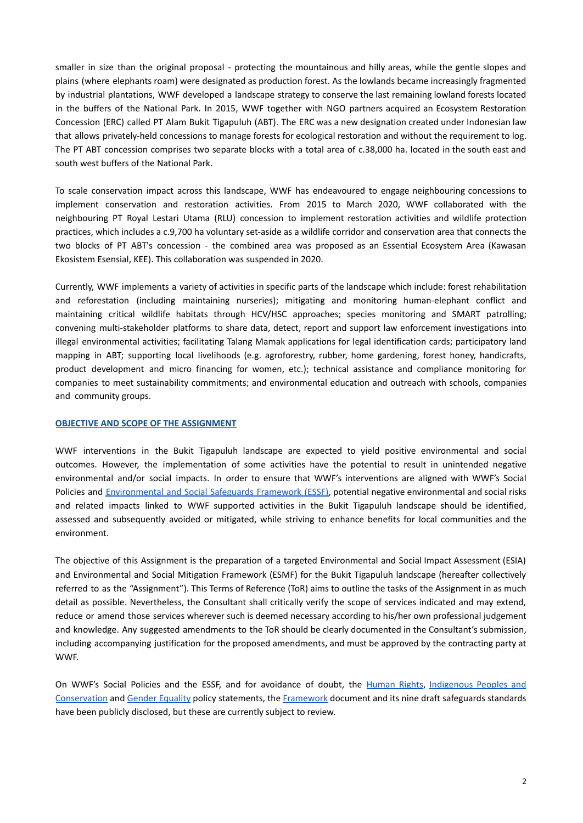smaller in size than the original proposal - protecting the mountainous and hilly areas, while the gentle slopes and plains (where elephants roam) were designated as production forest. As the lowlands became increasingly fragmented by industrial plantations, WWF developed a landscape strategy to conserve the last remaining lowland forests located in the buffers of the National Park. In 2015, WWF together with NGO partners acquired an Ecosystem Restoration Concession (ERC) called PT Alam Bukit Tigapuluh (ABT). The ERC was a new designation created under Indonesian law that allows privately-held concessions to manage forests for ecological restoration and without the requirement to log. The PT ABT concession comprises two separate blocks with a total area of c.38,000 ha. located in the south east and south west buffers of the National Park.

To scale conservation impact across this landscape, WWF has endeavoured to engage neighbouring concessions to implement conservation and restoration activities. From 2015 to March 2020, WWF collaborated with the neighbouring PT Royal Lestari Utama (RLU) concession to implement restoration activities and wildlife protection practices, which includes a c.9,700 ha voluntary set-aside as a wildlife corridor and conservation area that connects the two blocks of PT ABT's concession - the combined area was proposed as an Essential Ecosystem Area (Kawasan Ekosistem Esensial, KEE). This collaboration was suspended in 2020.

Currently, WWF implements a variety of activities in specific parts of the landscape which include: forest rehabilitation and reforestation (including maintaining nurseries); mitigating and monitoring human-elephant conflict and maintaining critical wildlife habitats through HCV/HSC approaches; species monitoring and SMART patrolling; convening multi-stakeholder platforms to share data, detect, report and support law enforcement investigations into illegal environmental activities; facilitating Talang Mamak applications for legal identification cards; participatory land mapping in ABT; supporting local livelihoods (e.g. agroforestry, rubber, home gardening, forest honey, handicrafts, product development and micro financing for women, etc.); technical assistance and compliance monitoring for companies to meet sustainability commitments; and environmental education and outreach with schools, companies and community groups.

#### **OBJECTIVE AND SCOPE OF THE ASSIGNMENT**

WWF interventions in the Bukit Tigapuluh landscape are expected to yield positive environmental and social outcomes. However, the implementation of some activities have the potential to result in unintended negative environmental and/or social impacts. In order to ensure that WWF's interventions are aligned with WWF's Social Policies and [Environmental](https://wwfint.awsassets.panda.org/downloads/wwf_environmental_and_social_safeguards_framework_consultation_draft.pdf?type1=%2F) and Social Safeguards Framework (ESSF), potential negative environmental and social risks and related impacts linked to WWF supported activities in the Bukit Tigapuluh landscape should be identified, assessed and subsequently avoided or mitigated, while striving to enhance benefits for local communities and the environment.

The objective of this Assignment is the preparation of a targeted Environmental and Social Impact Assessment (ESIA) and Environmental and Social Mitigation Framework (ESMF) for the Bukit Tigapuluh landscape (hereafter collectively referred to as the "Assignment"). This Terms of Reference (ToR) aims to outline the tasks of the Assignment in as much detail as possible. Nevertheless, the Consultant shall critically verify the scope of services indicated and may extend, reduce or amend those services wherever such is deemed necessary according to his/her own professional judgement and knowledge. Any suggested amendments to the ToR should be clearly documented in the Consultant's submission, including accompanying justification for the proposed amendments, and must be approved by the contracting party at WWF.

On WWF's Social Policies and the ESSF, and for avoidance of doubt, the [Human](https://wwfint.awsassets.panda.org/downloads/wwf_policy_statement_on_human_rights_consultation_draft.pdf) Rights, [Indigenous](https://wwfint.awsassets.panda.org/downloads/wwf_policy_on_indigenous_people_and_conservation_consultation_draft.pdf) Peoples and [Conservation](https://wwfint.awsassets.panda.org/downloads/wwf_policy_on_indigenous_people_and_conservation_consultation_draft.pdf) and Gender [Equality](https://wwfint.awsassets.panda.org/downloads/wwf_policy_on_gender_equality_consultation_draft.pdf) policy statements, the [Framework](https://wwfint.awsassets.panda.org/downloads/wwf_environmental_and_social_safeguards_framework_consultation_draft.pdf?type1=%2F) document and its nine draft safeguards standards have been publicly disclosed, but these are currently subject to review.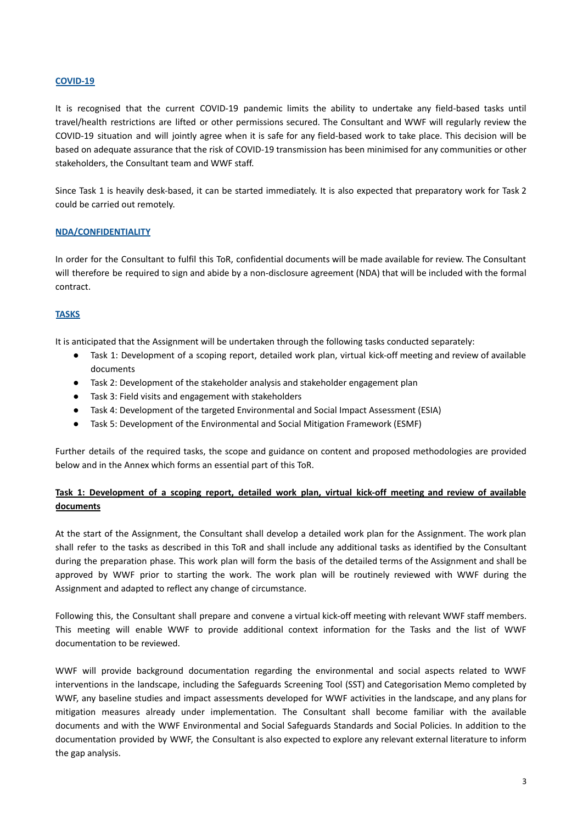## **COVID-19**

It is recognised that the current COVID-19 pandemic limits the ability to undertake any field-based tasks until travel/health restrictions are lifted or other permissions secured. The Consultant and WWF will regularly review the COVID-19 situation and will jointly agree when it is safe for any field-based work to take place. This decision will be based on adequate assurance that the risk of COVID-19 transmission has been minimised for any communities or other stakeholders, the Consultant team and WWF staff.

Since Task 1 is heavily desk-based, it can be started immediately. It is also expected that preparatory work for Task 2 could be carried out remotely.

## **NDA/CONFIDENTIALITY**

In order for the Consultant to fulfil this ToR, confidential documents will be made available for review. The Consultant will therefore be required to sign and abide by a non-disclosure agreement (NDA) that will be included with the formal contract.

## **TASKS**

It is anticipated that the Assignment will be undertaken through the following tasks conducted separately:

- Task 1: Development of a scoping report, detailed work plan, virtual kick-off meeting and review of available documents
- Task 2: Development of the stakeholder analysis and stakeholder engagement plan
- Task 3: Field visits and engagement with stakeholders
- Task 4: Development of the targeted Environmental and Social Impact Assessment (ESIA)
- Task 5: Development of the Environmental and Social Mitigation Framework (ESMF)

Further details of the required tasks, the scope and guidance on content and proposed methodologies are provided below and in the Annex which forms an essential part of this ToR.

## Task 1: Development of a scoping report, detailed work plan, virtual kick-off meeting and review of available **documents**

At the start of the Assignment, the Consultant shall develop a detailed work plan for the Assignment. The work plan shall refer to the tasks as described in this ToR and shall include any additional tasks as identified by the Consultant during the preparation phase. This work plan will form the basis of the detailed terms of the Assignment and shall be approved by WWF prior to starting the work. The work plan will be routinely reviewed with WWF during the Assignment and adapted to reflect any change of circumstance.

Following this, the Consultant shall prepare and convene a virtual kick-off meeting with relevant WWF staff members. This meeting will enable WWF to provide additional context information for the Tasks and the list of WWF documentation to be reviewed.

WWF will provide background documentation regarding the environmental and social aspects related to WWF interventions in the landscape, including the Safeguards Screening Tool (SST) and Categorisation Memo completed by WWF, any baseline studies and impact assessments developed for WWF activities in the landscape, and any plans for mitigation measures already under implementation. The Consultant shall become familiar with the available documents and with the WWF Environmental and Social Safeguards Standards and Social Policies. In addition to the documentation provided by WWF, the Consultant is also expected to explore any relevant external literature to inform the gap analysis.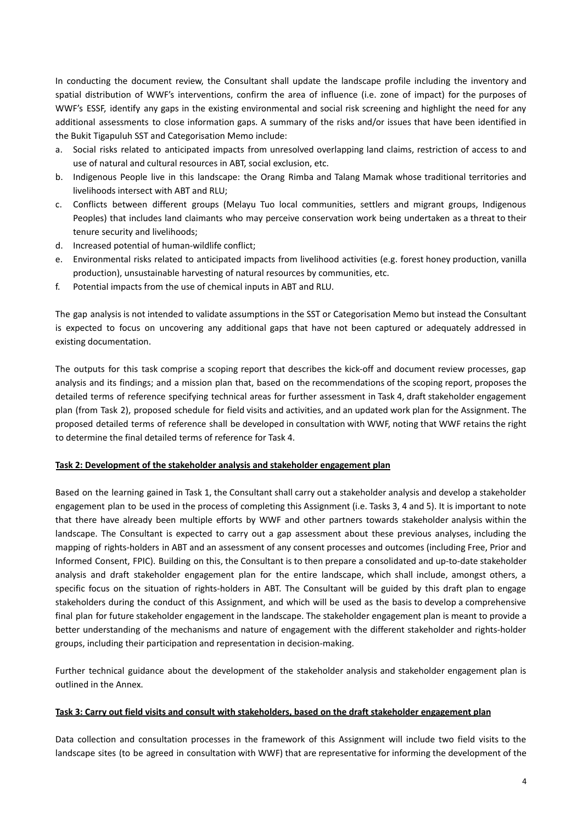In conducting the document review, the Consultant shall update the landscape profile including the inventory and spatial distribution of WWF's interventions, confirm the area of influence (i.e. zone of impact) for the purposes of WWF's ESSF, identify any gaps in the existing environmental and social risk screening and highlight the need for any additional assessments to close information gaps. A summary of the risks and/or issues that have been identified in the Bukit Tigapuluh SST and Categorisation Memo include:

- a. Social risks related to anticipated impacts from unresolved overlapping land claims, restriction of access to and use of natural and cultural resources in ABT, social exclusion, etc.
- b. Indigenous People live in this landscape: the Orang Rimba and Talang Mamak whose traditional territories and livelihoods intersect with ABT and RLU;
- c. Conflicts between different groups (Melayu Tuo local communities, settlers and migrant groups, Indigenous Peoples) that includes land claimants who may perceive conservation work being undertaken as a threat to their tenure security and livelihoods;
- d. Increased potential of human-wildlife conflict;
- e. Environmental risks related to anticipated impacts from livelihood activities (e.g. forest honey production, vanilla production), unsustainable harvesting of natural resources by communities, etc.
- f. Potential impacts from the use of chemical inputs in ABT and RLU.

The gap analysis is not intended to validate assumptions in the SST or Categorisation Memo but instead the Consultant is expected to focus on uncovering any additional gaps that have not been captured or adequately addressed in existing documentation.

The outputs for this task comprise a scoping report that describes the kick-off and document review processes, gap analysis and its findings; and a mission plan that, based on the recommendations of the scoping report, proposes the detailed terms of reference specifying technical areas for further assessment in Task 4, draft stakeholder engagement plan (from Task 2), proposed schedule for field visits and activities, and an updated work plan for the Assignment. The proposed detailed terms of reference shall be developed in consultation with WWF, noting that WWF retains the right to determine the final detailed terms of reference for Task 4.

## **Task 2: Development of the stakeholder analysis and stakeholder engagement plan**

Based on the learning gained in Task 1, the Consultant shall carry out a stakeholder analysis and develop a stakeholder engagement plan to be used in the process of completing this Assignment (i.e. Tasks 3, 4 and 5). It is important to note that there have already been multiple efforts by WWF and other partners towards stakeholder analysis within the landscape. The Consultant is expected to carry out a gap assessment about these previous analyses, including the mapping of rights-holders in ABT and an assessment of any consent processes and outcomes (including Free, Prior and Informed Consent, FPIC). Building on this, the Consultant is to then prepare a consolidated and up-to-date stakeholder analysis and draft stakeholder engagement plan for the entire landscape, which shall include, amongst others, a specific focus on the situation of rights-holders in ABT. The Consultant will be guided by this draft plan to engage stakeholders during the conduct of this Assignment, and which will be used as the basis to develop a comprehensive final plan for future stakeholder engagement in the landscape. The stakeholder engagement plan is meant to provide a better understanding of the mechanisms and nature of engagement with the different stakeholder and rights-holder groups, including their participation and representation in decision-making.

Further technical guidance about the development of the stakeholder analysis and stakeholder engagement plan is outlined in the Annex.

## Task 3: Carry out field visits and consult with stakeholders, based on the draft stakeholder engagement plan

Data collection and consultation processes in the framework of this Assignment will include two field visits to the landscape sites (to be agreed in consultation with WWF) that are representative for informing the development of the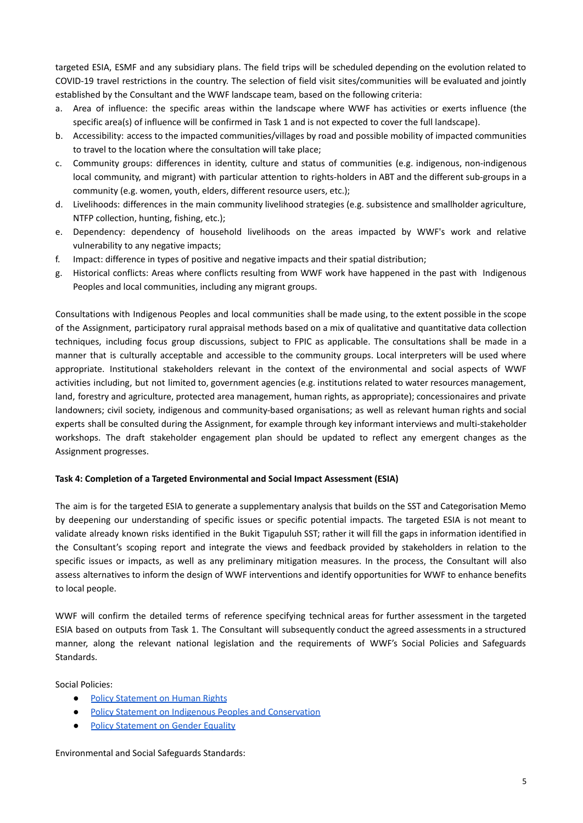targeted ESIA, ESMF and any subsidiary plans. The field trips will be scheduled depending on the evolution related to COVID-19 travel restrictions in the country. The selection of field visit sites/communities will be evaluated and jointly established by the Consultant and the WWF landscape team, based on the following criteria:

- a. Area of influence: the specific areas within the landscape where WWF has activities or exerts influence (the specific area(s) of influence will be confirmed in Task 1 and is not expected to cover the full landscape).
- b. Accessibility: access to the impacted communities/villages by road and possible mobility of impacted communities to travel to the location where the consultation will take place;
- c. Community groups: differences in identity, culture and status of communities (e.g. indigenous, non-indigenous local community, and migrant) with particular attention to rights-holders in ABT and the different sub-groups in a community (e.g. women, youth, elders, different resource users, etc.);
- d. Livelihoods: differences in the main community livelihood strategies (e.g. subsistence and smallholder agriculture, NTFP collection, hunting, fishing, etc.);
- e. Dependency: dependency of household livelihoods on the areas impacted by WWF's work and relative vulnerability to any negative impacts;
- f. Impact: difference in types of positive and negative impacts and their spatial distribution;
- g. Historical conflicts: Areas where conflicts resulting from WWF work have happened in the past with Indigenous Peoples and local communities, including any migrant groups.

Consultations with Indigenous Peoples and local communities shall be made using, to the extent possible in the scope of the Assignment, participatory rural appraisal methods based on a mix of qualitative and quantitative data collection techniques, including focus group discussions, subject to FPIC as applicable. The consultations shall be made in a manner that is culturally acceptable and accessible to the community groups. Local interpreters will be used where appropriate. Institutional stakeholders relevant in the context of the environmental and social aspects of WWF activities including, but not limited to, government agencies (e.g. institutions related to water resources management, land, forestry and agriculture, protected area management, human rights, as appropriate); concessionaires and private landowners; civil society, indigenous and community-based organisations; as well as relevant human rights and social experts shall be consulted during the Assignment, for example through key informant interviews and multi-stakeholder workshops. The draft stakeholder engagement plan should be updated to reflect any emergent changes as the Assignment progresses.

## **Task 4: Completion of a Targeted Environmental and Social Impact Assessment (ESIA)**

The aim is for the targeted ESIA to generate a supplementary analysis that builds on the SST and Categorisation Memo by deepening our understanding of specific issues or specific potential impacts. The targeted ESIA is not meant to validate already known risks identified in the Bukit Tigapuluh SST; rather it will fill the gaps in information identified in the Consultant's scoping report and integrate the views and feedback provided by stakeholders in relation to the specific issues or impacts, as well as any preliminary mitigation measures. In the process, the Consultant will also assess alternatives to inform the design of WWF interventions and identify opportunities for WWF to enhance benefits to local people.

WWF will confirm the detailed terms of reference specifying technical areas for further assessment in the targeted ESIA based on outputs from Task 1. The Consultant will subsequently conduct the agreed assessments in a structured manner, along the relevant national legislation and the requirements of WWF's Social Policies and Safeguards Standards.

Social Policies:

- Policy [Statement](https://wwfint.awsassets.panda.org/downloads/wwf_policy_statement_on_human_rights_consultation_draft.pdf) on Human Rights
- Policy Statement on Indigenous Peoples and [Conservation](https://wwfint.awsassets.panda.org/downloads/wwf_policy_on_indigenous_people_and_conservation_consultation_draft.pdf)
- Policy [Statement](https://wwfint.awsassets.panda.org/downloads/wwf_policy_on_gender_equality_consultation_draft.pdf) on Gender Equality

Environmental and Social Safeguards Standards: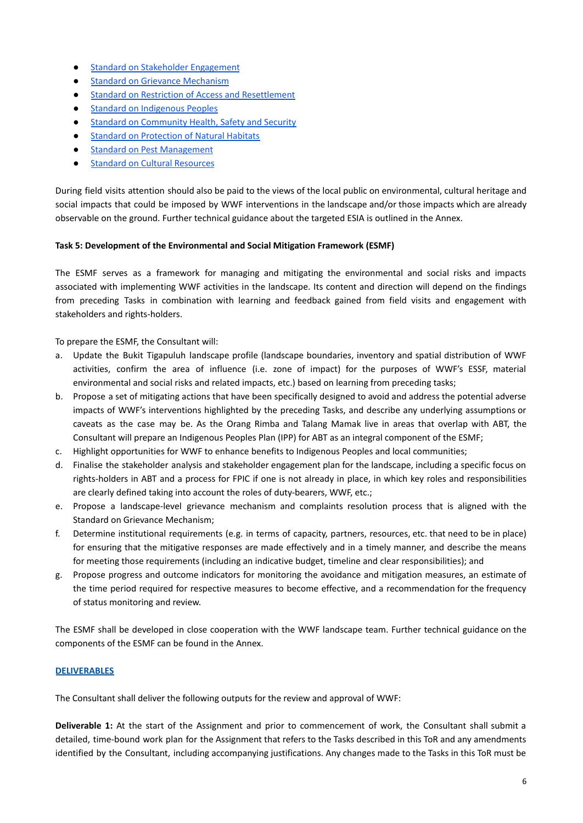- Standard on Stakeholder [Engagement](https://wwfint.awsassets.panda.org/downloads/wwf_standard_on_stakeholder_engagement_consultation_draft.pdf)
- Standard on Grievance [Mechanism](https://wwfint.awsassets.panda.org/downloads/wwf_standard_on_grievance_mechanisms_consultation_draft.pdf)
- Standard on Restriction of Access and [Resettlement](https://wwfint.awsassets.panda.org/downloads/wwf_standard_on_restriction_of_access_and_resettlement_consultation_draft.pdf?type1=%2F)
- Standard on [Indigenous](https://wwfint.awsassets.panda.org/downloads/wwf_standard_on_indigenous_peoples_consultation_draft.pdf?type1=%2F) Peoples
- Standard on [Community](https://wwfint.awsassets.panda.org/downloads/wwf_standard_on_community_health_safety_and_security_consultation_draft.pdf) Health, Safety and Security
- Standard on [Protection](https://wwfint.awsassets.panda.org/downloads/wwf_standard_on_protection_of_natural_habitat_consultation_draft.pdf) of Natural Habitats
- Standard on Pest [Management](https://wwfint.awsassets.panda.org/downloads/wwf_standard_on_pest_management_consultation_draft.pdf)
- Standard on Cultural [Resources](https://wwfint.awsassets.panda.org/downloads/wwf_standard_on_cultural_resources_consultation_draft.pdf)

During field visits attention should also be paid to the views of the local public on environmental, cultural heritage and social impacts that could be imposed by WWF interventions in the landscape and/or those impacts which are already observable on the ground. Further technical guidance about the targeted ESIA is outlined in the Annex.

## **Task 5: Development of the Environmental and Social Mitigation Framework (ESMF)**

The ESMF serves as a framework for managing and mitigating the environmental and social risks and impacts associated with implementing WWF activities in the landscape. Its content and direction will depend on the findings from preceding Tasks in combination with learning and feedback gained from field visits and engagement with stakeholders and rights-holders.

To prepare the ESMF, the Consultant will:

- a. Update the Bukit Tigapuluh landscape profile (landscape boundaries, inventory and spatial distribution of WWF activities, confirm the area of influence (i.e. zone of impact) for the purposes of WWF's ESSF, material environmental and social risks and related impacts, etc.) based on learning from preceding tasks;
- b. Propose a set of mitigating actions that have been specifically designed to avoid and address the potential adverse impacts of WWF's interventions highlighted by the preceding Tasks, and describe any underlying assumptions or caveats as the case may be. As the Orang Rimba and Talang Mamak live in areas that overlap with ABT, the Consultant will prepare an Indigenous Peoples Plan (IPP) for ABT as an integral component of the ESMF;
- c. Highlight opportunities for WWF to enhance benefits to Indigenous Peoples and local communities;
- d. Finalise the stakeholder analysis and stakeholder engagement plan for the landscape, including a specific focus on rights-holders in ABT and a process for FPIC if one is not already in place, in which key roles and responsibilities are clearly defined taking into account the roles of duty-bearers, WWF, etc.;
- e. Propose a landscape-level grievance mechanism and complaints resolution process that is aligned with the Standard on Grievance Mechanism;
- f. Determine institutional requirements (e.g. in terms of capacity, partners, resources, etc. that need to be in place) for ensuring that the mitigative responses are made effectively and in a timely manner, and describe the means for meeting those requirements (including an indicative budget, timeline and clear responsibilities); and
- g. Propose progress and outcome indicators for monitoring the avoidance and mitigation measures, an estimate of the time period required for respective measures to become effective, and a recommendation for the frequency of status monitoring and review.

The ESMF shall be developed in close cooperation with the WWF landscape team. Further technical guidance on the components of the ESMF can be found in the Annex.

## **DELIVERABLES**

The Consultant shall deliver the following outputs for the review and approval of WWF:

**Deliverable 1:** At the start of the Assignment and prior to commencement of work, the Consultant shall submit a detailed, time-bound work plan for the Assignment that refers to the Tasks described in this ToR and any amendments identified by the Consultant, including accompanying justifications. Any changes made to the Tasks in this ToR must be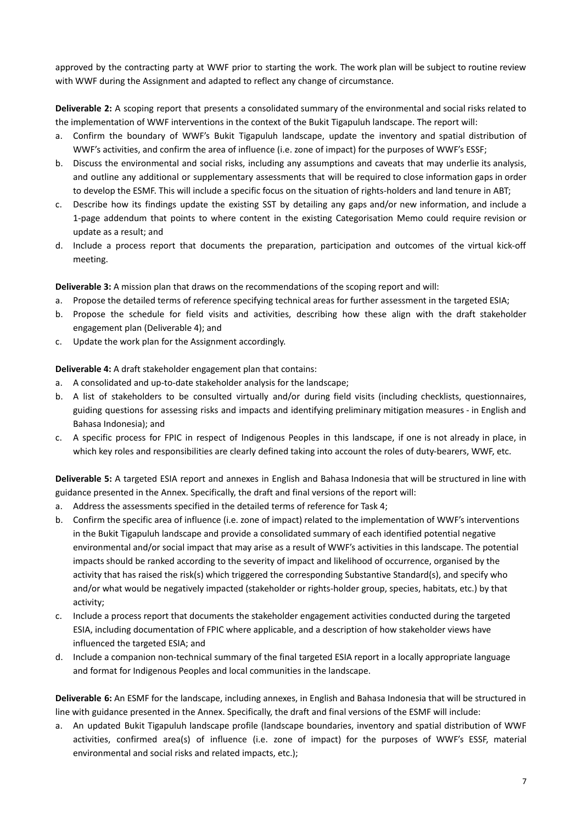approved by the contracting party at WWF prior to starting the work. The work plan will be subject to routine review with WWF during the Assignment and adapted to reflect any change of circumstance.

**Deliverable 2:** A scoping report that presents a consolidated summary of the environmental and social risks related to the implementation of WWF interventions in the context of the Bukit Tigapuluh landscape. The report will:

- a. Confirm the boundary of WWF's Bukit Tigapuluh landscape, update the inventory and spatial distribution of WWF's activities, and confirm the area of influence (i.e. zone of impact) for the purposes of WWF's ESSF;
- b. Discuss the environmental and social risks, including any assumptions and caveats that may underlie its analysis, and outline any additional or supplementary assessments that will be required to close information gaps in order to develop the ESMF. This will include a specific focus on the situation of rights-holders and land tenure in ABT;
- c. Describe how its findings update the existing SST by detailing any gaps and/or new information, and include a 1-page addendum that points to where content in the existing Categorisation Memo could require revision or update as a result; and
- d. Include a process report that documents the preparation, participation and outcomes of the virtual kick-off meeting.

**Deliverable 3:** A mission plan that draws on the recommendations of the scoping report and will:

- a. Propose the detailed terms of reference specifying technical areas for further assessment in the targeted ESIA;
- b. Propose the schedule for field visits and activities, describing how these align with the draft stakeholder engagement plan (Deliverable 4); and
- c. Update the work plan for the Assignment accordingly.

**Deliverable 4:** A draft stakeholder engagement plan that contains:

- a. A consolidated and up-to-date stakeholder analysis for the landscape;
- b. A list of stakeholders to be consulted virtually and/or during field visits (including checklists, questionnaires, guiding questions for assessing risks and impacts and identifying preliminary mitigation measures - in English and Bahasa Indonesia); and
- c. A specific process for FPIC in respect of Indigenous Peoples in this landscape, if one is not already in place, in which key roles and responsibilities are clearly defined taking into account the roles of duty-bearers, WWF, etc.

**Deliverable 5:** A targeted ESIA report and annexes in English and Bahasa Indonesia that will be structured in line with guidance presented in the Annex. Specifically, the draft and final versions of the report will:

- a. Address the assessments specified in the detailed terms of reference for Task 4;
- b. Confirm the specific area of influence (i.e. zone of impact) related to the implementation of WWF's interventions in the Bukit Tigapuluh landscape and provide a consolidated summary of each identified potential negative environmental and/or social impact that may arise as a result of WWF's activities in this landscape. The potential impacts should be ranked according to the severity of impact and likelihood of occurrence, organised by the activity that has raised the risk(s) which triggered the corresponding Substantive Standard(s), and specify who and/or what would be negatively impacted (stakeholder or rights-holder group, species, habitats, etc.) by that activity;
- c. Include a process report that documents the stakeholder engagement activities conducted during the targeted ESIA, including documentation of FPIC where applicable, and a description of how stakeholder views have influenced the targeted ESIA; and
- d. Include a companion non-technical summary of the final targeted ESIA report in a locally appropriate language and format for Indigenous Peoples and local communities in the landscape.

**Deliverable 6:** An ESMF for the landscape, including annexes, in English and Bahasa Indonesia that will be structured in line with guidance presented in the Annex. Specifically, the draft and final versions of the ESMF will include:

a. An updated Bukit Tigapuluh landscape profile (landscape boundaries, inventory and spatial distribution of WWF activities, confirmed area(s) of influence (i.e. zone of impact) for the purposes of WWF's ESSF, material environmental and social risks and related impacts, etc.);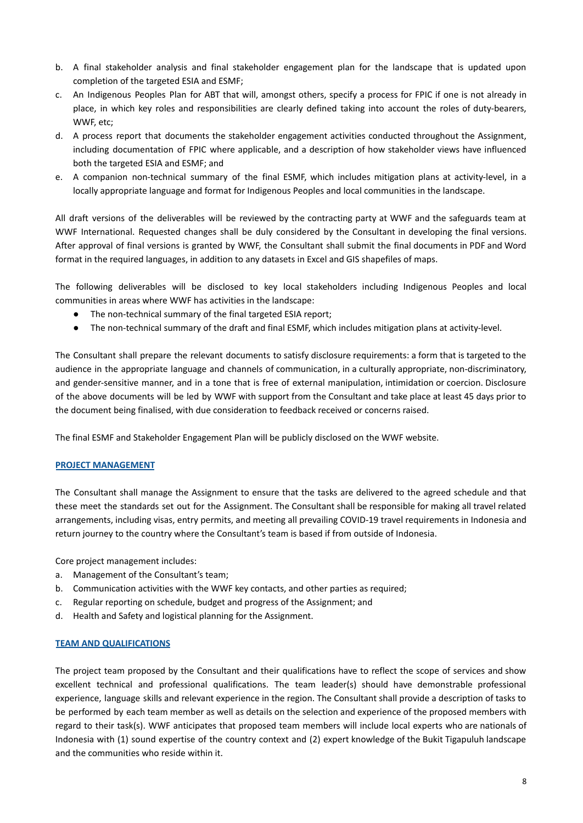- b. A final stakeholder analysis and final stakeholder engagement plan for the landscape that is updated upon completion of the targeted ESIA and ESMF;
- c. An Indigenous Peoples Plan for ABT that will, amongst others, specify a process for FPIC if one is not already in place, in which key roles and responsibilities are clearly defined taking into account the roles of duty-bearers, WWF, etc;
- d. A process report that documents the stakeholder engagement activities conducted throughout the Assignment, including documentation of FPIC where applicable, and a description of how stakeholder views have influenced both the targeted ESIA and ESMF; and
- e. A companion non-technical summary of the final ESMF, which includes mitigation plans at activity-level, in a locally appropriate language and format for Indigenous Peoples and local communities in the landscape.

All draft versions of the deliverables will be reviewed by the contracting party at WWF and the safeguards team at WWF International. Requested changes shall be duly considered by the Consultant in developing the final versions. After approval of final versions is granted by WWF, the Consultant shall submit the final documents in PDF and Word format in the required languages, in addition to any datasets in Excel and GIS shapefiles of maps.

The following deliverables will be disclosed to key local stakeholders including Indigenous Peoples and local communities in areas where WWF has activities in the landscape:

- The non-technical summary of the final targeted ESIA report;
- The non-technical summary of the draft and final ESMF, which includes mitigation plans at activity-level.

The Consultant shall prepare the relevant documents to satisfy disclosure requirements: a form that is targeted to the audience in the appropriate language and channels of communication, in a culturally appropriate, non-discriminatory, and gender-sensitive manner, and in a tone that is free of external manipulation, intimidation or coercion. Disclosure of the above documents will be led by WWF with support from the Consultant and take place at least 45 days prior to the document being finalised, with due consideration to feedback received or concerns raised.

The final ESMF and Stakeholder Engagement Plan will be publicly disclosed on the WWF website.

## **PROJECT MANAGEMENT**

The Consultant shall manage the Assignment to ensure that the tasks are delivered to the agreed schedule and that these meet the standards set out for the Assignment. The Consultant shall be responsible for making all travel related arrangements, including visas, entry permits, and meeting all prevailing COVID-19 travel requirements in Indonesia and return journey to the country where the Consultant's team is based if from outside of Indonesia.

Core project management includes:

- a. Management of the Consultant's team;
- b. Communication activities with the WWF key contacts, and other parties as required;
- c. Regular reporting on schedule, budget and progress of the Assignment; and
- d. Health and Safety and logistical planning for the Assignment.

#### **TEAM AND QUALIFICATIONS**

The project team proposed by the Consultant and their qualifications have to reflect the scope of services and show excellent technical and professional qualifications. The team leader(s) should have demonstrable professional experience, language skills and relevant experience in the region. The Consultant shall provide a description of tasks to be performed by each team member as well as details on the selection and experience of the proposed members with regard to their task(s). WWF anticipates that proposed team members will include local experts who are nationals of Indonesia with (1) sound expertise of the country context and (2) expert knowledge of the Bukit Tigapuluh landscape and the communities who reside within it.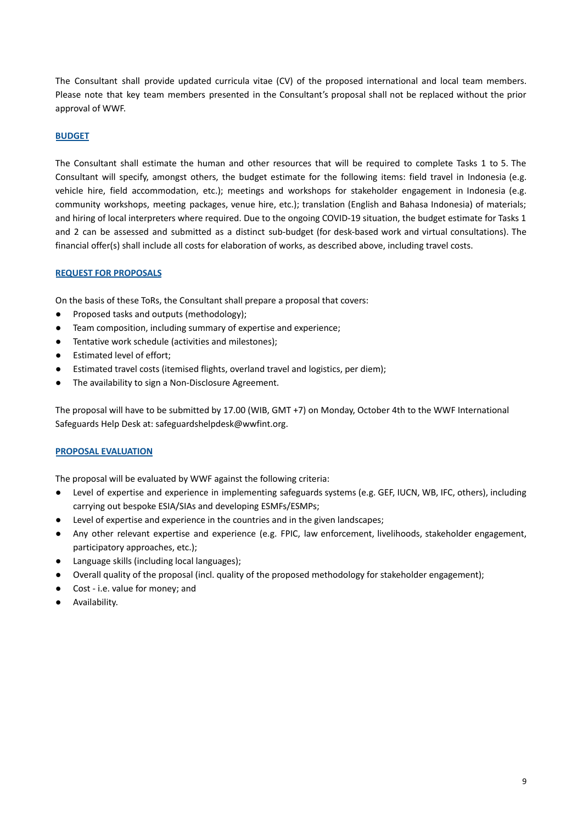The Consultant shall provide updated curricula vitae (CV) of the proposed international and local team members. Please note that key team members presented in the Consultant's proposal shall not be replaced without the prior approval of WWF.

## **BUDGET**

The Consultant shall estimate the human and other resources that will be required to complete Tasks 1 to 5. The Consultant will specify, amongst others, the budget estimate for the following items: field travel in Indonesia (e.g. vehicle hire, field accommodation, etc.); meetings and workshops for stakeholder engagement in Indonesia (e.g. community workshops, meeting packages, venue hire, etc.); translation (English and Bahasa Indonesia) of materials; and hiring of local interpreters where required. Due to the ongoing COVID-19 situation, the budget estimate for Tasks 1 and 2 can be assessed and submitted as a distinct sub-budget (for desk-based work and virtual consultations). The financial offer(s) shall include all costs for elaboration of works, as described above, including travel costs.

## **REQUEST FOR PROPOSALS**

On the basis of these ToRs, the Consultant shall prepare a proposal that covers:

- Proposed tasks and outputs (methodology);
- Team composition, including summary of expertise and experience;
- Tentative work schedule (activities and milestones);
- Estimated level of effort;
- Estimated travel costs (itemised flights, overland travel and logistics, per diem);
- The availability to sign a Non-Disclosure Agreement.

The proposal will have to be submitted by 17.00 (WIB, GMT +7) on Monday, October 4th to the WWF International Safeguards Help Desk at: safeguardshelpdesk@wwfint.org.

## **PROPOSAL EVALUATION**

The proposal will be evaluated by WWF against the following criteria:

- Level of expertise and experience in implementing safeguards systems (e.g. GEF, IUCN, WB, IFC, others), including carrying out bespoke ESIA/SIAs and developing ESMFs/ESMPs;
- Level of expertise and experience in the countries and in the given landscapes;
- Any other relevant expertise and experience (e.g. FPIC, law enforcement, livelihoods, stakeholder engagement, participatory approaches, etc.);
- Language skills (including local languages);
- Overall quality of the proposal (incl. quality of the proposed methodology for stakeholder engagement);
- Cost i.e. value for money; and
- Availability.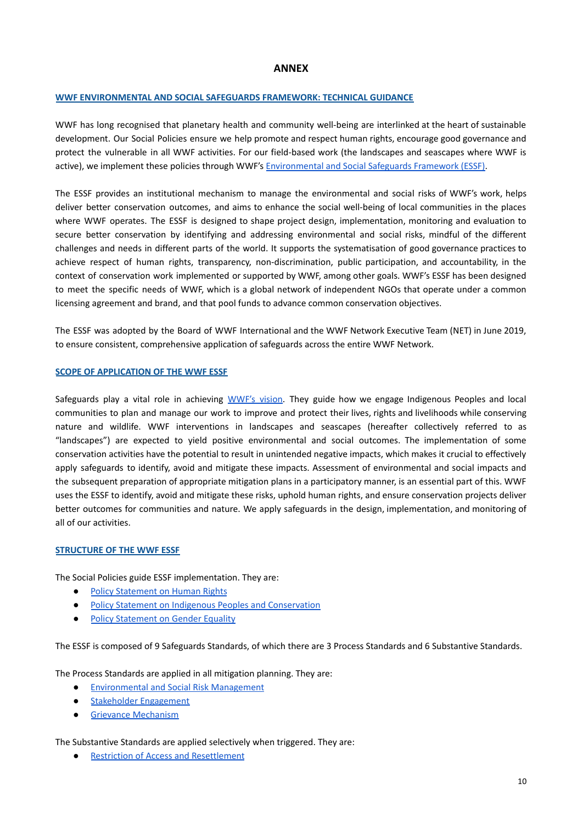## **ANNEX**

## **WWF ENVIRONMENTAL AND SOCIAL SAFEGUARDS FRAMEWORK: TECHNICAL GUIDANCE**

WWF has long recognised that planetary health and community well-being are interlinked at the heart of sustainable development. Our Social Policies ensure we help promote and respect human rights, encourage good governance and protect the vulnerable in all WWF activities. For our field-based work (the landscapes and seascapes where WWF is active), we implement these policies through WWF's [Environmental](https://wwfint.awsassets.panda.org/downloads/wwf_environmental_and_social_safeguards_framework_consultation_draft.pdf?type1=%2F) and Social Safeguards Framework (ESSF).

The ESSF provides an institutional mechanism to manage the environmental and social risks of WWF's work, helps deliver better conservation outcomes, and aims to enhance the social well-being of local communities in the places where WWF operates. The ESSF is designed to shape project design, implementation, monitoring and evaluation to secure better conservation by identifying and addressing environmental and social risks, mindful of the different challenges and needs in different parts of the world. It supports the systematisation of good governance practices to achieve respect of human rights, transparency, non-discrimination, public participation, and accountability, in the context of conservation work implemented or supported by WWF, among other goals. WWF's ESSF has been designed to meet the specific needs of WWF, which is a global network of independent NGOs that operate under a common licensing agreement and brand, and that pool funds to advance common conservation objectives.

The ESSF was adopted by the Board of WWF International and the WWF Network Executive Team (NET) in June 2019, to ensure consistent, comprehensive application of safeguards across the entire WWF Network.

#### **SCOPE OF APPLICATION OF THE WWF ESSF**

Safeguards play a vital role in achieving [WWF's](https://help.worldwildlife.org/hc/en-us/articles/360007905494-WWF-s-Mission-Vision) vision. They guide how we engage Indigenous Peoples and local communities to plan and manage our work to improve and protect their lives, rights and livelihoods while conserving nature and wildlife. WWF interventions in landscapes and seascapes (hereafter collectively referred to as "landscapes") are expected to yield positive environmental and social outcomes. The implementation of some conservation activities have the potential to result in unintended negative impacts, which makes it crucial to effectively apply safeguards to identify, avoid and mitigate these impacts. Assessment of environmental and social impacts and the subsequent preparation of appropriate mitigation plans in a participatory manner, is an essential part of this. WWF uses the ESSF to identify, avoid and mitigate these risks, uphold human rights, and ensure conservation projects deliver better outcomes for communities and nature. We apply safeguards in the design, implementation, and monitoring of all of our activities.

#### **STRUCTURE OF THE WWF ESSF**

The Social Policies guide ESSF implementation. They are:

- **Policy [Statement](https://wwfint.awsassets.panda.org/downloads/wwf_policy_statement_on_human_rights_consultation_draft.pdf) on Human Rights**
- Policy Statement on Indigenous Peoples and [Conservation](https://wwfint.awsassets.panda.org/downloads/wwf_policy_on_indigenous_people_and_conservation_consultation_draft.pdf)
- Policy [Statement](https://wwfint.awsassets.panda.org/downloads/wwf_policy_on_gender_equality_consultation_draft.pdf) on Gender Equality

The ESSF is composed of 9 Safeguards Standards, of which there are 3 Process Standards and 6 Substantive Standards.

The Process Standards are applied in all mitigation planning. They are:

- [Environmental](https://wwfint.awsassets.panda.org/downloads/wwf_standard_on_risk_management_consultation_draft.pdf?type1=%2F) and Social Risk Management
- Stakeholder [Engagement](https://wwfint.awsassets.panda.org/downloads/wwf_standard_on_stakeholder_engagement_consultation_draft.pdf)
- Grievance [Mechanism](https://wwfint.awsassets.panda.org/downloads/wwf_standard_on_grievance_mechanisms_consultation_draft.pdf)

The Substantive Standards are applied selectively when triggered. They are:

**Restriction of Access and [Resettlement](https://wwfint.awsassets.panda.org/downloads/wwf_standard_on_restriction_of_access_and_resettlement_consultation_draft.pdf?type1=%2F)**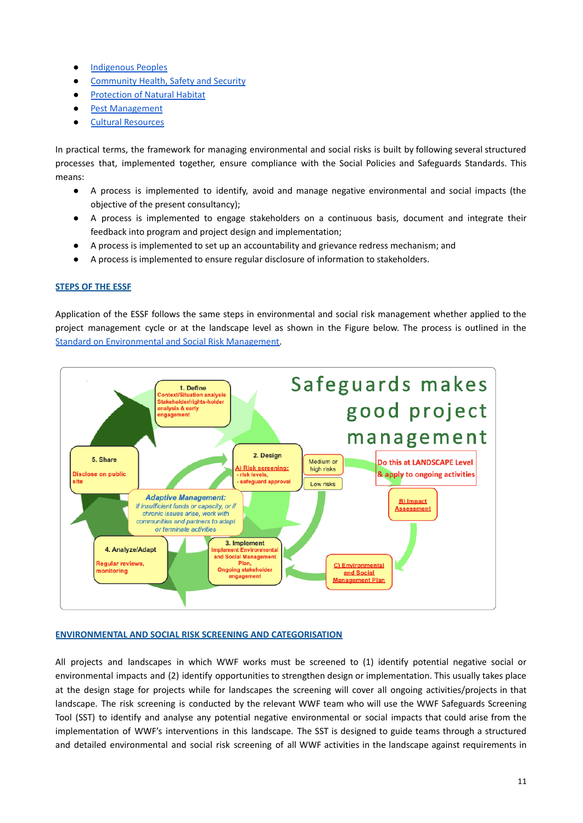- [Indigenous](https://wwfint.awsassets.panda.org/downloads/wwf_standard_on_indigenous_peoples_consultation_draft.pdf?type1=%2F) Peoples
- [Community](https://wwfint.awsassets.panda.org/downloads/wwf_standard_on_community_health_safety_and_security_consultation_draft.pdf) Health, Safety and Security
- [Protection](https://wwfint.awsassets.panda.org/downloads/wwf_standard_on_protection_of_natural_habitat_consultation_draft.pdf) of Natural Habitat
- Pest [Management](https://wwfint.awsassets.panda.org/downloads/wwf_standard_on_pest_management_consultation_draft.pdf)
- Cultural [Resources](https://wwfint.awsassets.panda.org/downloads/wwf_standard_on_cultural_resources_consultation_draft.pdf)

In practical terms, the framework for managing environmental and social risks is built by following several structured processes that, implemented together, ensure compliance with the Social Policies and Safeguards Standards. This means:

- A process is implemented to identify, avoid and manage negative environmental and social impacts (the objective of the present consultancy);
- A process is implemented to engage stakeholders on a continuous basis, document and integrate their feedback into program and project design and implementation;
- A process is implemented to set up an accountability and grievance redress mechanism; and
- A process is implemented to ensure regular disclosure of information to stakeholders.

## **STEPS OF THE ESSF**

Application of the ESSF follows the same steps in environmental and social risk management whether applied to the project management cycle or at the landscape level as shown in the Figure below. The process is outlined in the Standard on [Environmental](https://wwfint.awsassets.panda.org/downloads/wwf_standard_on_risk_management_consultation_draft.pdf?type1=%2F) and Social Risk Management.



## **ENVIRONMENTAL AND SOCIAL RISK SCREENING AND CATEGORISATION**

All projects and landscapes in which WWF works must be screened to (1) identify potential negative social or environmental impacts and (2) identify opportunities to strengthen design or implementation. This usually takes place at the design stage for projects while for landscapes the screening will cover all ongoing activities/projects in that landscape. The risk screening is conducted by the relevant WWF team who will use the WWF Safeguards Screening Tool (SST) to identify and analyse any potential negative environmental or social impacts that could arise from the implementation of WWF's interventions in this landscape. The SST is designed to guide teams through a structured and detailed environmental and social risk screening of all WWF activities in the landscape against requirements in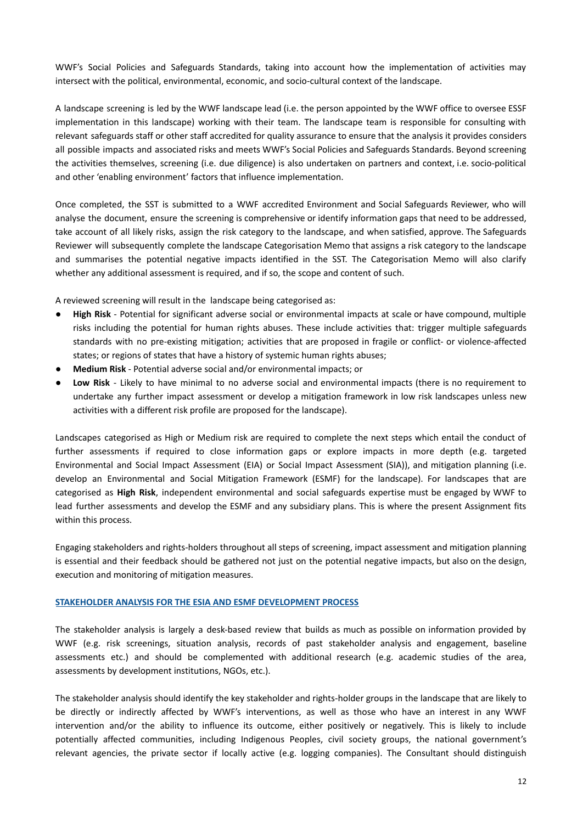WWF's Social Policies and Safeguards Standards, taking into account how the implementation of activities may intersect with the political, environmental, economic, and socio-cultural context of the landscape.

A landscape screening is led by the WWF landscape lead (i.e. the person appointed by the WWF office to oversee ESSF implementation in this landscape) working with their team. The landscape team is responsible for consulting with relevant safeguards staff or other staff accredited for quality assurance to ensure that the analysis it provides considers all possible impacts and associated risks and meets WWF's Social Policies and Safeguards Standards. Beyond screening the activities themselves, screening (i.e. due diligence) is also undertaken on partners and context, i.e. socio-political and other 'enabling environment' factors that influence implementation.

Once completed, the SST is submitted to a WWF accredited Environment and Social Safeguards Reviewer, who will analyse the document, ensure the screening is comprehensive or identify information gaps that need to be addressed, take account of all likely risks, assign the risk category to the landscape, and when satisfied, approve. The Safeguards Reviewer will subsequently complete the landscape Categorisation Memo that assigns a risk category to the landscape and summarises the potential negative impacts identified in the SST. The Categorisation Memo will also clarify whether any additional assessment is required, and if so, the scope and content of such.

A reviewed screening will result in the landscape being categorised as:

- **High Risk** Potential for significant adverse social or environmental impacts at scale or have compound, multiple risks including the potential for human rights abuses. These include activities that: trigger multiple safeguards standards with no pre-existing mitigation; activities that are proposed in fragile or conflict- or violence-affected states; or regions of states that have a history of systemic human rights abuses;
- **Medium Risk** Potential adverse social and/or environmental impacts; or
- **Low Risk** Likely to have minimal to no adverse social and environmental impacts (there is no requirement to undertake any further impact assessment or develop a mitigation framework in low risk landscapes unless new activities with a different risk profile are proposed for the landscape).

Landscapes categorised as High or Medium risk are required to complete the next steps which entail the conduct of further assessments if required to close information gaps or explore impacts in more depth (e.g. targeted Environmental and Social Impact Assessment (EIA) or Social Impact Assessment (SIA)), and mitigation planning (i.e. develop an Environmental and Social Mitigation Framework (ESMF) for the landscape). For landscapes that are categorised as **High Risk**, independent environmental and social safeguards expertise must be engaged by WWF to lead further assessments and develop the ESMF and any subsidiary plans. This is where the present Assignment fits within this process.

Engaging stakeholders and rights-holders throughout all steps of screening, impact assessment and mitigation planning is essential and their feedback should be gathered not just on the potential negative impacts, but also on the design, execution and monitoring of mitigation measures.

## **STAKEHOLDER ANALYSIS FOR THE ESIA AND ESMF DEVELOPMENT PROCESS**

The stakeholder analysis is largely a desk-based review that builds as much as possible on information provided by WWF (e.g. risk screenings, situation analysis, records of past stakeholder analysis and engagement, baseline assessments etc.) and should be complemented with additional research (e.g. academic studies of the area, assessments by development institutions, NGOs, etc.).

The stakeholder analysis should identify the key stakeholder and rights-holder groups in the landscape that are likely to be directly or indirectly affected by WWF's interventions, as well as those who have an interest in any WWF intervention and/or the ability to influence its outcome, either positively or negatively. This is likely to include potentially affected communities, including Indigenous Peoples, civil society groups, the national government's relevant agencies, the private sector if locally active (e.g. logging companies). The Consultant should distinguish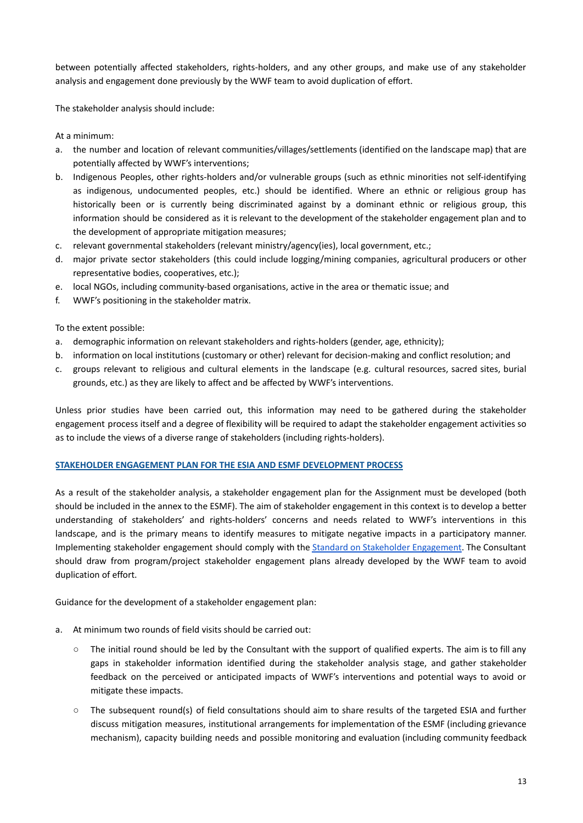between potentially affected stakeholders, rights-holders, and any other groups, and make use of any stakeholder analysis and engagement done previously by the WWF team to avoid duplication of effort.

The stakeholder analysis should include:

At a minimum:

- a. the number and location of relevant communities/villages/settlements (identified on the landscape map) that are potentially affected by WWF's interventions;
- b. Indigenous Peoples, other rights-holders and/or vulnerable groups (such as ethnic minorities not self-identifying as indigenous, undocumented peoples, etc.) should be identified. Where an ethnic or religious group has historically been or is currently being discriminated against by a dominant ethnic or religious group, this information should be considered as it is relevant to the development of the stakeholder engagement plan and to the development of appropriate mitigation measures;
- c. relevant governmental stakeholders (relevant ministry/agency(ies), local government, etc.;
- d. major private sector stakeholders (this could include logging/mining companies, agricultural producers or other representative bodies, cooperatives, etc.);
- e. local NGOs, including community-based organisations, active in the area or thematic issue; and
- f. WWF's positioning in the stakeholder matrix.

To the extent possible:

- a. demographic information on relevant stakeholders and rights-holders (gender, age, ethnicity);
- b. information on local institutions (customary or other) relevant for decision-making and conflict resolution; and
- c. groups relevant to religious and cultural elements in the landscape (e.g. cultural resources, sacred sites, burial grounds, etc.) as they are likely to affect and be affected by WWF's interventions.

Unless prior studies have been carried out, this information may need to be gathered during the stakeholder engagement process itself and a degree of flexibility will be required to adapt the stakeholder engagement activities so as to include the views of a diverse range of stakeholders (including rights-holders).

## **STAKEHOLDER ENGAGEMENT PLAN FOR THE ESIA AND ESMF DEVELOPMENT PROCESS**

As a result of the stakeholder analysis, a stakeholder engagement plan for the Assignment must be developed (both should be included in the annex to the ESMF). The aim of stakeholder engagement in this context is to develop a better understanding of stakeholders' and rights-holders' concerns and needs related to WWF's interventions in this landscape, and is the primary means to identify measures to mitigate negative impacts in a participatory manner. Implementing stakeholder engagement should comply with the Standard on Stakeholder [Engagement](https://wwfint.awsassets.panda.org/downloads/wwf_standard_on_stakeholder_engagement_consultation_draft.pdf). The Consultant should draw from program/project stakeholder engagement plans already developed by the WWF team to avoid duplication of effort.

Guidance for the development of a stakeholder engagement plan:

- a. At minimum two rounds of field visits should be carried out:
	- The initial round should be led by the Consultant with the support of qualified experts. The aim is to fill any gaps in stakeholder information identified during the stakeholder analysis stage, and gather stakeholder feedback on the perceived or anticipated impacts of WWF's interventions and potential ways to avoid or mitigate these impacts.
	- The subsequent round(s) of field consultations should aim to share results of the targeted ESIA and further discuss mitigation measures, institutional arrangements for implementation of the ESMF (including grievance mechanism), capacity building needs and possible monitoring and evaluation (including community feedback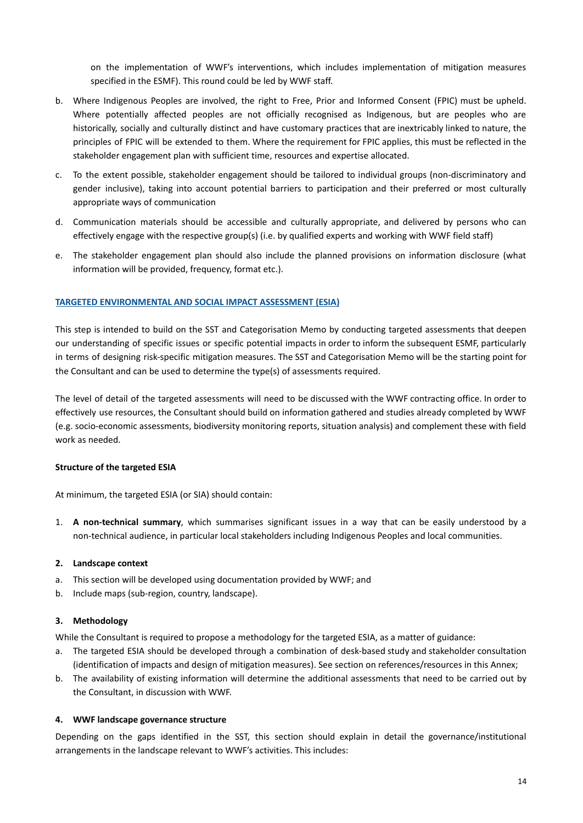on the implementation of WWF's interventions, which includes implementation of mitigation measures specified in the ESMF). This round could be led by WWF staff.

- b. Where Indigenous Peoples are involved, the right to Free, Prior and Informed Consent (FPIC) must be upheld. Where potentially affected peoples are not officially recognised as Indigenous, but are peoples who are historically, socially and culturally distinct and have customary practices that are inextricably linked to nature, the principles of FPIC will be extended to them. Where the requirement for FPIC applies, this must be reflected in the stakeholder engagement plan with sufficient time, resources and expertise allocated.
- c. To the extent possible, stakeholder engagement should be tailored to individual groups (non-discriminatory and gender inclusive), taking into account potential barriers to participation and their preferred or most culturally appropriate ways of communication
- d. Communication materials should be accessible and culturally appropriate, and delivered by persons who can effectively engage with the respective group(s) (i.e. by qualified experts and working with WWF field staff)
- e. The stakeholder engagement plan should also include the planned provisions on information disclosure (what information will be provided, frequency, format etc.).

## **TARGETED ENVIRONMENTAL AND SOCIAL IMPACT ASSESSMENT (ESIA)**

This step is intended to build on the SST and Categorisation Memo by conducting targeted assessments that deepen our understanding of specific issues or specific potential impacts in order to inform the subsequent ESMF, particularly in terms of designing risk-specific mitigation measures. The SST and Categorisation Memo will be the starting point for the Consultant and can be used to determine the type(s) of assessments required.

The level of detail of the targeted assessments will need to be discussed with the WWF contracting office. In order to effectively use resources, the Consultant should build on information gathered and studies already completed by WWF (e.g. socio-economic assessments, biodiversity monitoring reports, situation analysis) and complement these with field work as needed.

## **Structure of the targeted ESIA**

At minimum, the targeted ESIA (or SIA) should contain:

1. **A non-technical summary**, which summarises significant issues in a way that can be easily understood by a non-technical audience, in particular local stakeholders including Indigenous Peoples and local communities.

## **2. Landscape context**

- a. This section will be developed using documentation provided by WWF; and
- b. Include maps (sub-region, country, landscape).

#### **3. Methodology**

While the Consultant is required to propose a methodology for the targeted ESIA, as a matter of guidance:

- a. The targeted ESIA should be developed through a combination of desk-based study and stakeholder consultation (identification of impacts and design of mitigation measures). See section on references/resources in this Annex;
- b. The availability of existing information will determine the additional assessments that need to be carried out by the Consultant, in discussion with WWF.

#### **4. WWF landscape governance structure**

Depending on the gaps identified in the SST, this section should explain in detail the governance/institutional arrangements in the landscape relevant to WWF's activities. This includes: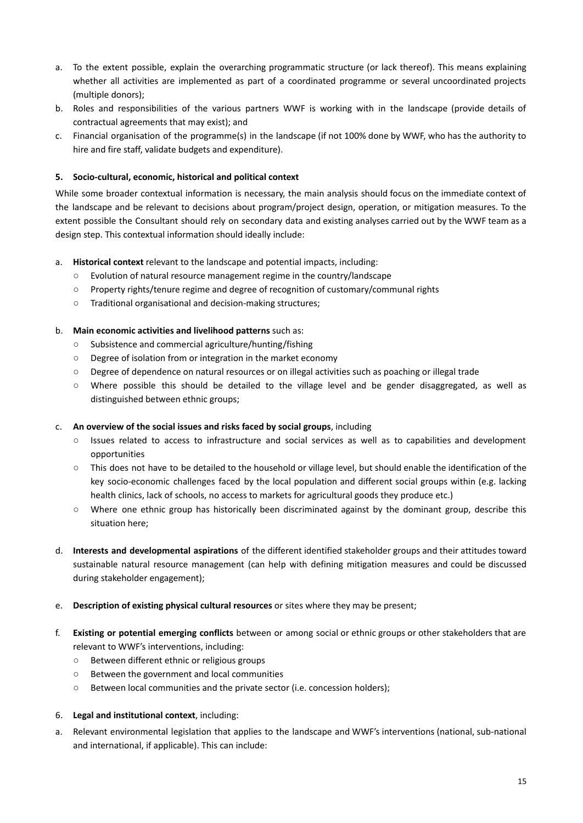- a. To the extent possible, explain the overarching programmatic structure (or lack thereof). This means explaining whether all activities are implemented as part of a coordinated programme or several uncoordinated projects (multiple donors);
- b. Roles and responsibilities of the various partners WWF is working with in the landscape (provide details of contractual agreements that may exist); and
- c. Financial organisation of the programme(s) in the landscape (if not 100% done by WWF, who has the authority to hire and fire staff, validate budgets and expenditure).

## **5. Socio-cultural, economic, historical and political context**

While some broader contextual information is necessary, the main analysis should focus on the immediate context of the landscape and be relevant to decisions about program/project design, operation, or mitigation measures. To the extent possible the Consultant should rely on secondary data and existing analyses carried out by the WWF team as a design step. This contextual information should ideally include:

## a. **Historical context** relevant to the landscape and potential impacts, including:

- Evolution of natural resource management regime in the country/landscape
- Property rights/tenure regime and degree of recognition of customary/communal rights
- Traditional organisational and decision-making structures;

## b. **Main economic activities and livelihood patterns** such as:

- Subsistence and commercial agriculture/hunting/fishing
- Degree of isolation from or integration in the market economy
- Degree of dependence on natural resources or on illegal activities such as poaching or illegal trade
- Where possible this should be detailed to the village level and be gender disaggregated, as well as distinguished between ethnic groups;

## c. **An overview of the social issues and risks faced by social groups**, including

- Issues related to access to infrastructure and social services as well as to capabilities and development opportunities
- This does not have to be detailed to the household or village level, but should enable the identification of the key socio-economic challenges faced by the local population and different social groups within (e.g. lacking health clinics, lack of schools, no access to markets for agricultural goods they produce etc.)
- Where one ethnic group has historically been discriminated against by the dominant group, describe this situation here;
- d. **Interests and developmental aspirations** of the different identified stakeholder groups and their attitudes toward sustainable natural resource management (can help with defining mitigation measures and could be discussed during stakeholder engagement);

## e. **Description of existing physical cultural resources** or sites where they may be present;

- f. **Existing or potential emerging conflicts** between or among social or ethnic groups or other stakeholders that are relevant to WWF's interventions, including:
	- Between different ethnic or religious groups
	- Between the government and local communities
	- Between local communities and the private sector (i.e. concession holders);

## 6. **Legal and institutional context**, including:

a. Relevant environmental legislation that applies to the landscape and WWF's interventions (national, sub-national and international, if applicable). This can include: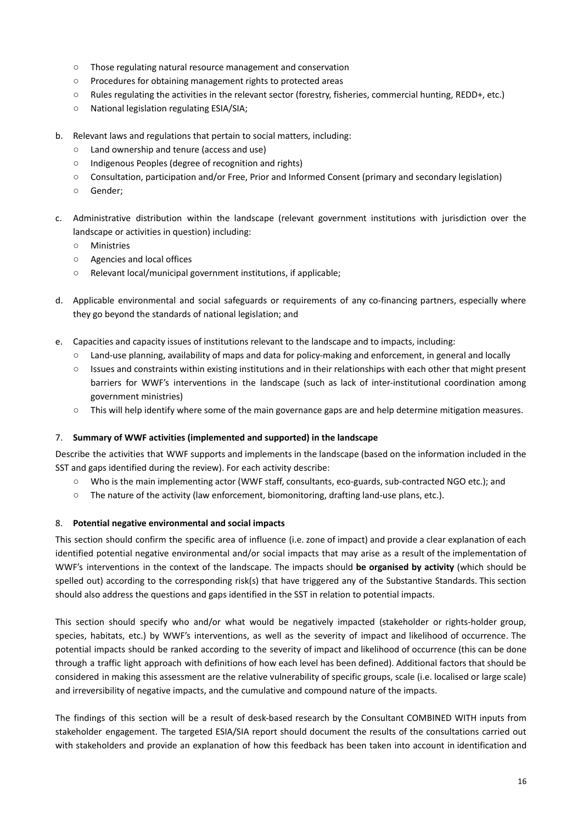- Those regulating natural resource management and conservation
- Procedures for obtaining management rights to protected areas
- Rules regulating the activities in the relevant sector (forestry, fisheries, commercial hunting, REDD+, etc.)
- National legislation regulating ESIA/SIA;
- b. Relevant laws and regulations that pertain to social matters, including:
	- Land ownership and tenure (access and use)
	- Indigenous Peoples (degree of recognition and rights)
	- Consultation, participation and/or Free, Prior and Informed Consent (primary and secondary legislation)
	- Gender;
- c. Administrative distribution within the landscape (relevant government institutions with jurisdiction over the landscape or activities in question) including:
	- Ministries
	- Agencies and local offices
	- Relevant local/municipal government institutions, if applicable;
- d. Applicable environmental and social safeguards or requirements of any co-financing partners, especially where they go beyond the standards of national legislation; and
- e. Capacities and capacity issues of institutions relevant to the landscape and to impacts, including:
	- Land-use planning, availability of maps and data for policy-making and enforcement, in general and locally
	- Issues and constraints within existing institutions and in their relationships with each other that might present barriers for WWF's interventions in the landscape (such as lack of inter-institutional coordination among government ministries)
	- This will help identify where some of the main governance gaps are and help determine mitigation measures.

## 7. **Summary of WWF activities (implemented and supported) in the landscape**

Describe the activities that WWF supports and implements in the landscape (based on the information included in the SST and gaps identified during the review). For each activity describe:

- Who is the main implementing actor (WWF staff, consultants, eco-guards, sub-contracted NGO etc.); and
- The nature of the activity (law enforcement, biomonitoring, drafting land-use plans, etc.).

## 8. **Potential negative environmental and social impacts**

This section should confirm the specific area of influence (i.e. zone of impact) and provide a clear explanation of each identified potential negative environmental and/or social impacts that may arise as a result of the implementation of WWF's interventions in the context of the landscape. The impacts should **be organised by activity** (which should be spelled out) according to the corresponding risk(s) that have triggered any of the Substantive Standards. This section should also address the questions and gaps identified in the SST in relation to potential impacts.

This section should specify who and/or what would be negatively impacted (stakeholder or rights-holder group, species, habitats, etc.) by WWF's interventions, as well as the severity of impact and likelihood of occurrence. The potential impacts should be ranked according to the severity of impact and likelihood of occurrence (this can be done through a traffic light approach with definitions of how each level has been defined). Additional factors that should be considered in making this assessment are the relative vulnerability of specific groups, scale (i.e. localised or large scale) and irreversibility of negative impacts, and the cumulative and compound nature of the impacts.

The findings of this section will be a result of desk-based research by the Consultant COMBINED WITH inputs from stakeholder engagement. The targeted ESIA/SIA report should document the results of the consultations carried out with stakeholders and provide an explanation of how this feedback has been taken into account in identification and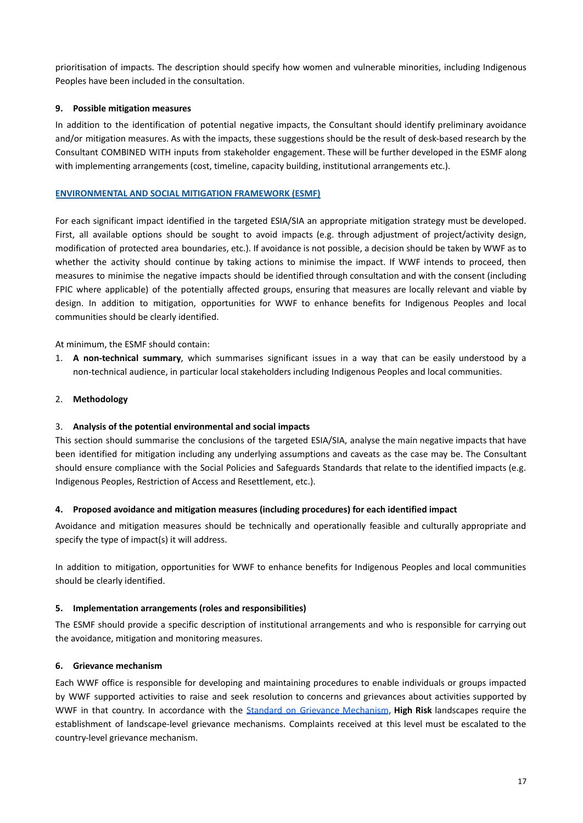prioritisation of impacts. The description should specify how women and vulnerable minorities, including Indigenous Peoples have been included in the consultation.

## **9. Possible mitigation measures**

In addition to the identification of potential negative impacts, the Consultant should identify preliminary avoidance and/or mitigation measures. As with the impacts, these suggestions should be the result of desk-based research by the Consultant COMBINED WITH inputs from stakeholder engagement. These will be further developed in the ESMF along with implementing arrangements (cost, timeline, capacity building, institutional arrangements etc.).

## **ENVIRONMENTAL AND SOCIAL MITIGATION FRAMEWORK (ESMF)**

For each significant impact identified in the targeted ESIA/SIA an appropriate mitigation strategy must be developed. First, all available options should be sought to avoid impacts (e.g. through adjustment of project/activity design, modification of protected area boundaries, etc.). If avoidance is not possible, a decision should be taken by WWF as to whether the activity should continue by taking actions to minimise the impact. If WWF intends to proceed, then measures to minimise the negative impacts should be identified through consultation and with the consent (including FPIC where applicable) of the potentially affected groups, ensuring that measures are locally relevant and viable by design. In addition to mitigation, opportunities for WWF to enhance benefits for Indigenous Peoples and local communities should be clearly identified.

At minimum, the ESMF should contain:

1. **A non-technical summary**, which summarises significant issues in a way that can be easily understood by a non-technical audience, in particular local stakeholders including Indigenous Peoples and local communities.

## 2. **Methodology**

## 3. **Analysis of the potential environmental and social impacts**

This section should summarise the conclusions of the targeted ESIA/SIA, analyse the main negative impacts that have been identified for mitigation including any underlying assumptions and caveats as the case may be. The Consultant should ensure compliance with the Social Policies and Safeguards Standards that relate to the identified impacts (e.g. Indigenous Peoples, Restriction of Access and Resettlement, etc.).

## **4. Proposed avoidance and mitigation measures (including procedures) for each identified impact**

Avoidance and mitigation measures should be technically and operationally feasible and culturally appropriate and specify the type of impact(s) it will address.

In addition to mitigation, opportunities for WWF to enhance benefits for Indigenous Peoples and local communities should be clearly identified.

## **5. Implementation arrangements (roles and responsibilities)**

The ESMF should provide a specific description of institutional arrangements and who is responsible for carrying out the avoidance, mitigation and monitoring measures.

## **6. Grievance mechanism**

Each WWF office is responsible for developing and maintaining procedures to enable individuals or groups impacted by WWF supported activities to raise and seek resolution to concerns and grievances about activities supported by WWF in that country. In accordance with the Standard on Grievance [Mechanism](https://wwfint.awsassets.panda.org/downloads/wwf_standard_on_grievance_mechanisms_consultation_draft.pdf), **High Risk** landscapes require the establishment of landscape-level grievance mechanisms. Complaints received at this level must be escalated to the country-level grievance mechanism.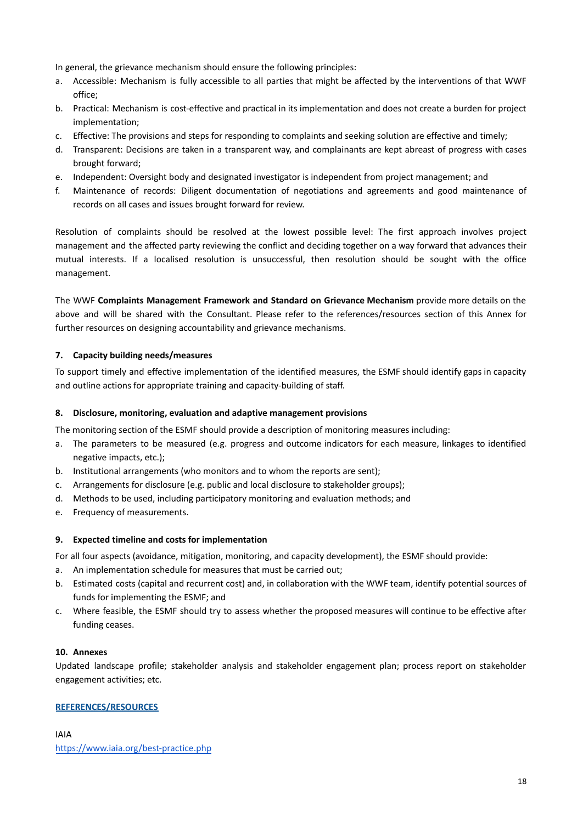In general, the grievance mechanism should ensure the following principles:

- a. Accessible: Mechanism is fully accessible to all parties that might be affected by the interventions of that WWF office;
- b. Practical: Mechanism is cost-effective and practical in its implementation and does not create a burden for project implementation;
- c. Effective: The provisions and steps for responding to complaints and seeking solution are effective and timely;
- d. Transparent: Decisions are taken in a transparent way, and complainants are kept abreast of progress with cases brought forward;
- e. Independent: Oversight body and designated investigator is independent from project management; and
- f. Maintenance of records: Diligent documentation of negotiations and agreements and good maintenance of records on all cases and issues brought forward for review.

Resolution of complaints should be resolved at the lowest possible level: The first approach involves project management and the affected party reviewing the conflict and deciding together on a way forward that advances their mutual interests. If a localised resolution is unsuccessful, then resolution should be sought with the office management.

The WWF **Complaints Management Framework and Standard on Grievance Mechanism** provide more details on the above and will be shared with the Consultant. Please refer to the references/resources section of this Annex for further resources on designing accountability and grievance mechanisms.

## **7. Capacity building needs/measures**

To support timely and effective implementation of the identified measures, the ESMF should identify gaps in capacity and outline actions for appropriate training and capacity-building of staff.

## **8. Disclosure, monitoring, evaluation and adaptive management provisions**

The monitoring section of the ESMF should provide a description of monitoring measures including:

- a. The parameters to be measured (e.g. progress and outcome indicators for each measure, linkages to identified negative impacts, etc.);
- b. Institutional arrangements (who monitors and to whom the reports are sent);
- c. Arrangements for disclosure (e.g. public and local disclosure to stakeholder groups);
- d. Methods to be used, including participatory monitoring and evaluation methods; and
- e. Frequency of measurements.

## **9. Expected timeline and costs for implementation**

For all four aspects (avoidance, mitigation, monitoring, and capacity development), the ESMF should provide:

- a. An implementation schedule for measures that must be carried out;
- b. Estimated costs (capital and recurrent cost) and, in collaboration with the WWF team, identify potential sources of funds for implementing the ESMF; and
- c. Where feasible, the ESMF should try to assess whether the proposed measures will continue to be effective after funding ceases.

## **10. Annexes**

Updated landscape profile; stakeholder analysis and stakeholder engagement plan; process report on stakeholder engagement activities; etc.

## **REFERENCES/RESOURCES**

IAIA <https://www.iaia.org/best-practice.php>